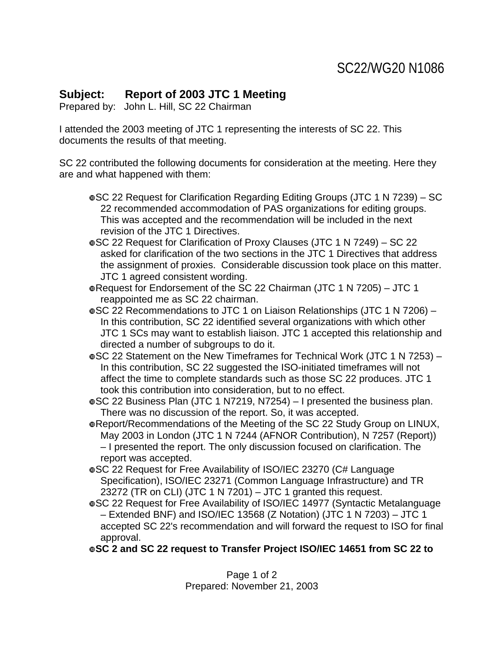## **Subject: Report of 2003 JTC 1 Meeting**

Prepared by: John L. Hill, SC 22 Chairman

I attended the 2003 meeting of JTC 1 representing the interests of SC 22. This documents the results of that meeting.

SC 22 contributed the following documents for consideration at the meeting. Here they are and what happened with them:

- wSC 22 Request for Clarification Regarding Editing Groups (JTC 1 N 7239) SC 22 recommended accommodation of PAS organizations for editing groups. This was accepted and the recommendation will be included in the next revision of the JTC 1 Directives.
- wSC 22 Request for Clarification of Proxy Clauses (JTC 1 N 7249) SC 22 asked for clarification of the two sections in the JTC 1 Directives that address the assignment of proxies. Considerable discussion took place on this matter. JTC 1 agreed consistent wording.

wRequest for Endorsement of the SC 22 Chairman (JTC 1 N 7205) – JTC 1 reappointed me as SC 22 chairman.

wSC 22 Recommendations to JTC 1 on Liaison Relationships (JTC 1 N 7206) – In this contribution, SC 22 identified several organizations with which other JTC 1 SCs may want to establish liaison. JTC 1 accepted this relationship and directed a number of subgroups to do it.

wSC 22 Statement on the New Timeframes for Technical Work (JTC 1 N 7253) – In this contribution, SC 22 suggested the ISO-initiated timeframes will not affect the time to complete standards such as those SC 22 produces. JTC 1 took this contribution into consideration, but to no effect.

wSC 22 Business Plan (JTC 1 N7219, N7254) – I presented the business plan. There was no discussion of the report. So, it was accepted.

wReport/Recommendations of the Meeting of the SC 22 Study Group on LINUX, May 2003 in London (JTC 1 N 7244 (AFNOR Contribution), N 7257 (Report)) – I presented the report. The only discussion focused on clarification. The report was accepted.

- wSC 22 Request for Free Availability of ISO/IEC 23270 (C# Language Specification), ISO/IEC 23271 (Common Language Infrastructure) and TR 23272 (TR on CLI) (JTC 1 N 7201) – JTC 1 granted this request.
- wSC 22 Request for Free Availability of ISO/IEC 14977 (Syntactic Metalanguage – Extended BNF) and ISO/IEC 13568 (Z Notation) (JTC 1 N 7203) – JTC 1 accepted SC 22's recommendation and will forward the request to ISO for final approval.

w**SC 2 and SC 22 request to Transfer Project ISO/IEC 14651 from SC 22 to** 

Page 1 of 2 Prepared: November 21, 2003